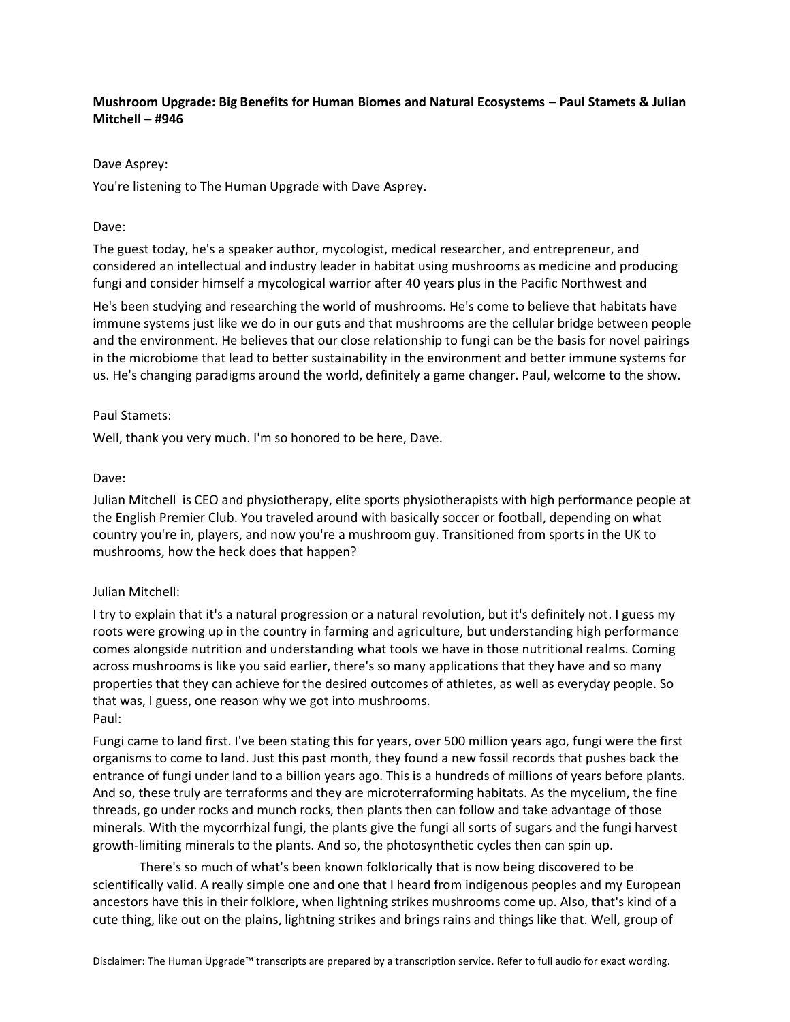# **Mushroom Upgrade: Big Benefits for Human Biomes and Natural Ecosystems – Paul Stamets & Julian Mitchell – #946**

#### Dave Asprey:

You're listening to The Human Upgrade with Dave Asprey.

### Dave:

The guest today, he's a speaker author, mycologist, medical researcher, and entrepreneur, and considered an intellectual and industry leader in habitat using mushrooms as medicine and producing fungi and consider himself a mycological warrior after 40 years plus in the Pacific Northwest and

He's been studying and researching the world of mushrooms. He's come to believe that habitats have immune systems just like we do in our guts and that mushrooms are the cellular bridge between people and the environment. He believes that our close relationship to fungi can be the basis for novel pairings in the microbiome that lead to better sustainability in the environment and better immune systems for us. He's changing paradigms around the world, definitely a game changer. Paul, welcome to the show.

### Paul Stamets:

Well, thank you very much. I'm so honored to be here, Dave.

### Dave:

Julian Mitchell is CEO and physiotherapy, elite sports physiotherapists with high performance people at the English Premier Club. You traveled around with basically soccer or football, depending on what country you're in, players, and now you're a mushroom guy. Transitioned from sports in the UK to mushrooms, how the heck does that happen?

# Julian Mitchell:

I try to explain that it's a natural progression or a natural revolution, but it's definitely not. I guess my roots were growing up in the country in farming and agriculture, but understanding high performance comes alongside nutrition and understanding what tools we have in those nutritional realms. Coming across mushrooms is like you said earlier, there's so many applications that they have and so many properties that they can achieve for the desired outcomes of athletes, as well as everyday people. So that was, I guess, one reason why we got into mushrooms. Paul:

Fungi came to land first. I've been stating this for years, over 500 million years ago, fungi were the first organisms to come to land. Just this past month, they found a new fossil records that pushes back the entrance of fungi under land to a billion years ago. This is a hundreds of millions of years before plants. And so, these truly are terraforms and they are microterraforming habitats. As the mycelium, the fine threads, go under rocks and munch rocks, then plants then can follow and take advantage of those minerals. With the mycorrhizal fungi, the plants give the fungi all sorts of sugars and the fungi harvest growth-limiting minerals to the plants. And so, the photosynthetic cycles then can spin up.

There's so much of what's been known folklorically that is now being discovered to be scientifically valid. A really simple one and one that I heard from indigenous peoples and my European ancestors have this in their folklore, when lightning strikes mushrooms come up. Also, that's kind of a cute thing, like out on the plains, lightning strikes and brings rains and things like that. Well, group of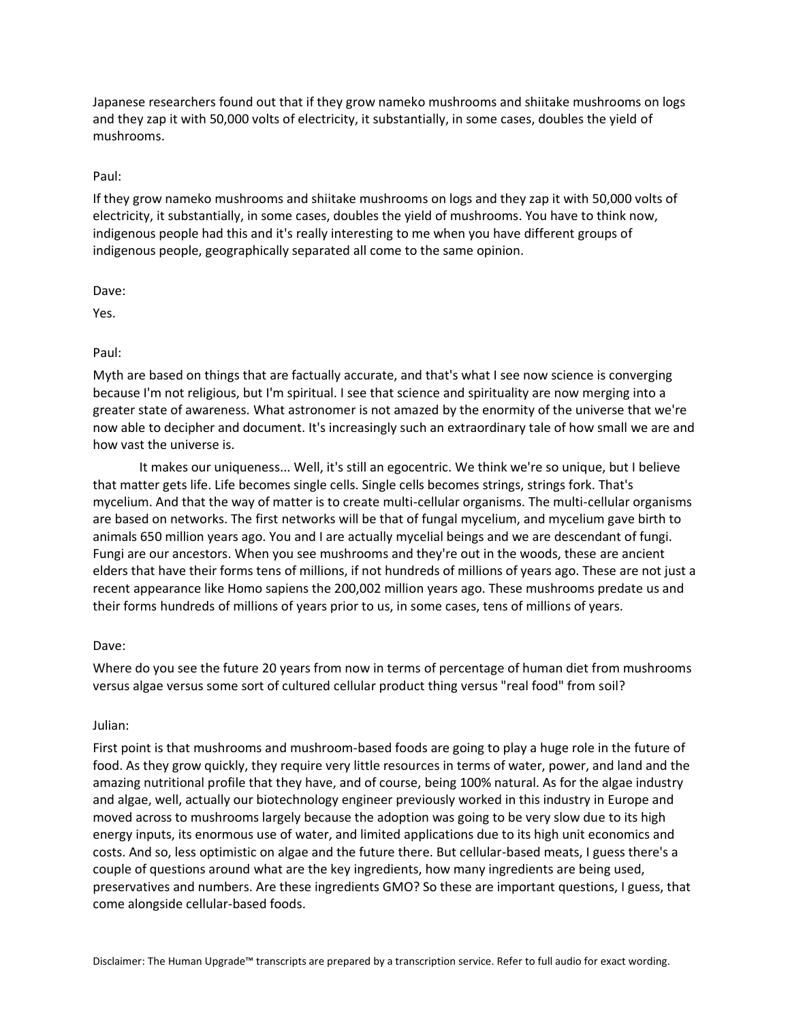Japanese researchers found out that if they grow nameko mushrooms and shiitake mushrooms on logs and they zap it with 50,000 volts of electricity, it substantially, in some cases, doubles the yield of mushrooms.

#### Paul:

If they grow nameko mushrooms and shiitake mushrooms on logs and they zap it with 50,000 volts of electricity, it substantially, in some cases, doubles the yield of mushrooms. You have to think now, indigenous people had this and it's really interesting to me when you have different groups of indigenous people, geographically separated all come to the same opinion.

Dave:

Yes.

Paul:

Myth are based on things that are factually accurate, and that's what I see now science is converging because I'm not religious, but I'm spiritual. I see that science and spirituality are now merging into a greater state of awareness. What astronomer is not amazed by the enormity of the universe that we're now able to decipher and document. It's increasingly such an extraordinary tale of how small we are and how vast the universe is.

It makes our uniqueness... Well, it's still an egocentric. We think we're so unique, but I believe that matter gets life. Life becomes single cells. Single cells becomes strings, strings fork. That's mycelium. And that the way of matter is to create multi-cellular organisms. The multi-cellular organisms are based on networks. The first networks will be that of fungal mycelium, and mycelium gave birth to animals 650 million years ago. You and I are actually mycelial beings and we are descendant of fungi. Fungi are our ancestors. When you see mushrooms and they're out in the woods, these are ancient elders that have their forms tens of millions, if not hundreds of millions of years ago. These are not just a recent appearance like Homo sapiens the 200,002 million years ago. These mushrooms predate us and their forms hundreds of millions of years prior to us, in some cases, tens of millions of years.

#### Dave:

Where do you see the future 20 years from now in terms of percentage of human diet from mushrooms versus algae versus some sort of cultured cellular product thing versus "real food" from soil?

#### Julian:

First point is that mushrooms and mushroom-based foods are going to play a huge role in the future of food. As they grow quickly, they require very little resources in terms of water, power, and land and the amazing nutritional profile that they have, and of course, being 100% natural. As for the algae industry and algae, well, actually our biotechnology engineer previously worked in this industry in Europe and moved across to mushrooms largely because the adoption was going to be very slow due to its high energy inputs, its enormous use of water, and limited applications due to its high unit economics and costs. And so, less optimistic on algae and the future there. But cellular-based meats, I guess there's a couple of questions around what are the key ingredients, how many ingredients are being used, preservatives and numbers. Are these ingredients GMO? So these are important questions, I guess, that come alongside cellular-based foods.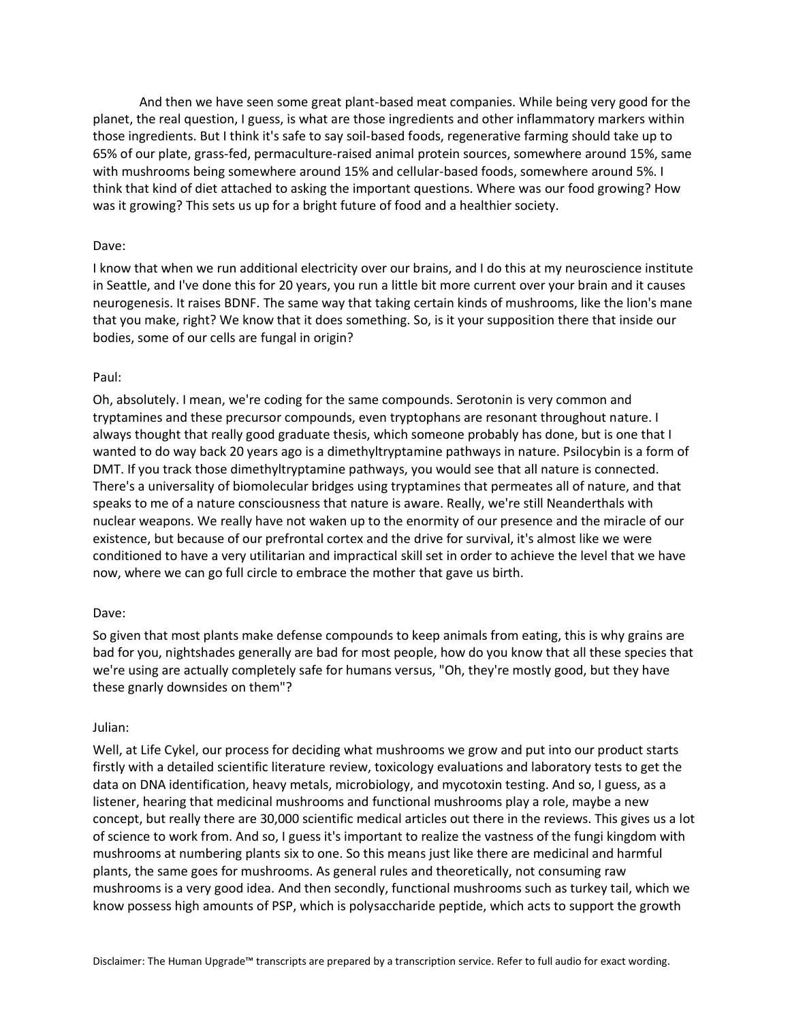And then we have seen some great plant-based meat companies. While being very good for the planet, the real question, I guess, is what are those ingredients and other inflammatory markers within those ingredients. But I think it's safe to say soil-based foods, regenerative farming should take up to 65% of our plate, grass-fed, permaculture-raised animal protein sources, somewhere around 15%, same with mushrooms being somewhere around 15% and cellular-based foods, somewhere around 5%. I think that kind of diet attached to asking the important questions. Where was our food growing? How was it growing? This sets us up for a bright future of food and a healthier society.

#### Dave:

I know that when we run additional electricity over our brains, and I do this at my neuroscience institute in Seattle, and I've done this for 20 years, you run a little bit more current over your brain and it causes neurogenesis. It raises BDNF. The same way that taking certain kinds of mushrooms, like the lion's mane that you make, right? We know that it does something. So, is it your supposition there that inside our bodies, some of our cells are fungal in origin?

#### Paul:

Oh, absolutely. I mean, we're coding for the same compounds. Serotonin is very common and tryptamines and these precursor compounds, even tryptophans are resonant throughout nature. I always thought that really good graduate thesis, which someone probably has done, but is one that I wanted to do way back 20 years ago is a dimethyltryptamine pathways in nature. Psilocybin is a form of DMT. If you track those dimethyltryptamine pathways, you would see that all nature is connected. There's a universality of biomolecular bridges using tryptamines that permeates all of nature, and that speaks to me of a nature consciousness that nature is aware. Really, we're still Neanderthals with nuclear weapons. We really have not waken up to the enormity of our presence and the miracle of our existence, but because of our prefrontal cortex and the drive for survival, it's almost like we were conditioned to have a very utilitarian and impractical skill set in order to achieve the level that we have now, where we can go full circle to embrace the mother that gave us birth.

#### Dave:

So given that most plants make defense compounds to keep animals from eating, this is why grains are bad for you, nightshades generally are bad for most people, how do you know that all these species that we're using are actually completely safe for humans versus, "Oh, they're mostly good, but they have these gnarly downsides on them"?

#### Julian:

Well, at Life Cykel, our process for deciding what mushrooms we grow and put into our product starts firstly with a detailed scientific literature review, toxicology evaluations and laboratory tests to get the data on DNA identification, heavy metals, microbiology, and mycotoxin testing. And so, I guess, as a listener, hearing that medicinal mushrooms and functional mushrooms play a role, maybe a new concept, but really there are 30,000 scientific medical articles out there in the reviews. This gives us a lot of science to work from. And so, I guess it's important to realize the vastness of the fungi kingdom with mushrooms at numbering plants six to one. So this means just like there are medicinal and harmful plants, the same goes for mushrooms. As general rules and theoretically, not consuming raw mushrooms is a very good idea. And then secondly, functional mushrooms such as turkey tail, which we know possess high amounts of PSP, which is polysaccharide peptide, which acts to support the growth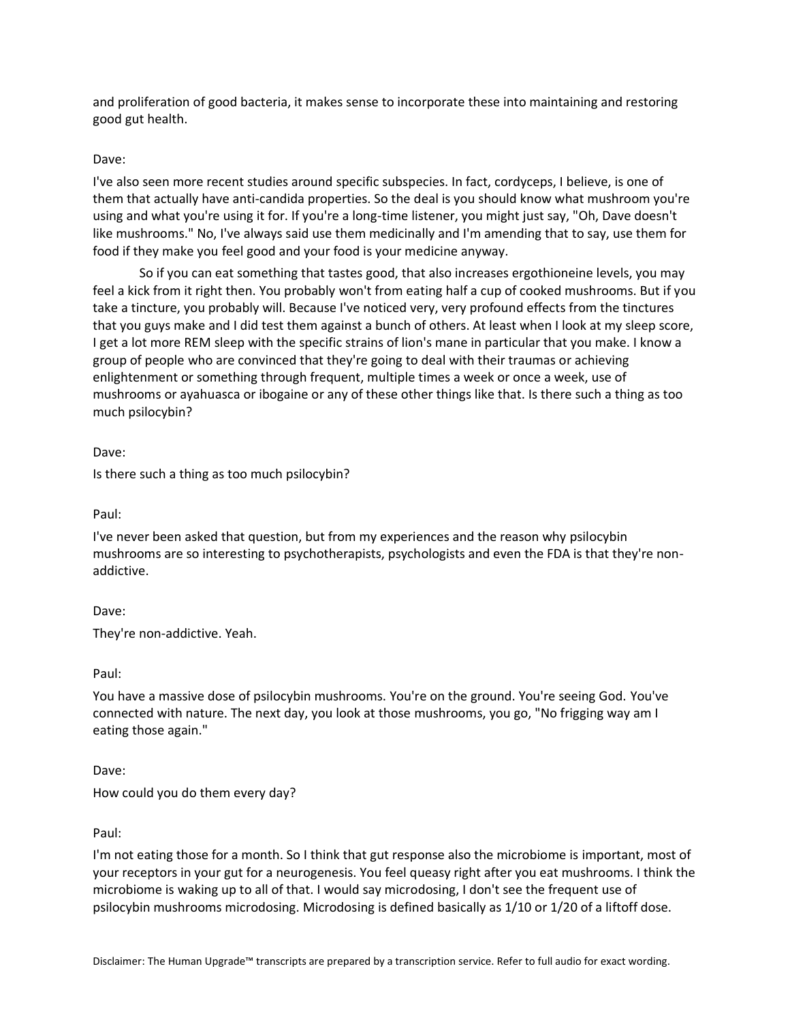and proliferation of good bacteria, it makes sense to incorporate these into maintaining and restoring good gut health.

# Dave:

I've also seen more recent studies around specific subspecies. In fact, cordyceps, I believe, is one of them that actually have anti-candida properties. So the deal is you should know what mushroom you're using and what you're using it for. If you're a long-time listener, you might just say, "Oh, Dave doesn't like mushrooms." No, I've always said use them medicinally and I'm amending that to say, use them for food if they make you feel good and your food is your medicine anyway.

So if you can eat something that tastes good, that also increases ergothioneine levels, you may feel a kick from it right then. You probably won't from eating half a cup of cooked mushrooms. But if you take a tincture, you probably will. Because I've noticed very, very profound effects from the tinctures that you guys make and I did test them against a bunch of others. At least when I look at my sleep score, I get a lot more REM sleep with the specific strains of lion's mane in particular that you make. I know a group of people who are convinced that they're going to deal with their traumas or achieving enlightenment or something through frequent, multiple times a week or once a week, use of mushrooms or ayahuasca or ibogaine or any of these other things like that. Is there such a thing as too much psilocybin?

Dave:

Is there such a thing as too much psilocybin?

Paul:

I've never been asked that question, but from my experiences and the reason why psilocybin mushrooms are so interesting to psychotherapists, psychologists and even the FDA is that they're nonaddictive.

Dave:

They're non-addictive. Yeah.

Paul:

You have a massive dose of psilocybin mushrooms. You're on the ground. You're seeing God. You've connected with nature. The next day, you look at those mushrooms, you go, "No frigging way am I eating those again."

Dave:

How could you do them every day?

#### Paul:

I'm not eating those for a month. So I think that gut response also the microbiome is important, most of your receptors in your gut for a neurogenesis. You feel queasy right after you eat mushrooms. I think the microbiome is waking up to all of that. I would say microdosing, I don't see the frequent use of psilocybin mushrooms microdosing. Microdosing is defined basically as 1/10 or 1/20 of a liftoff dose.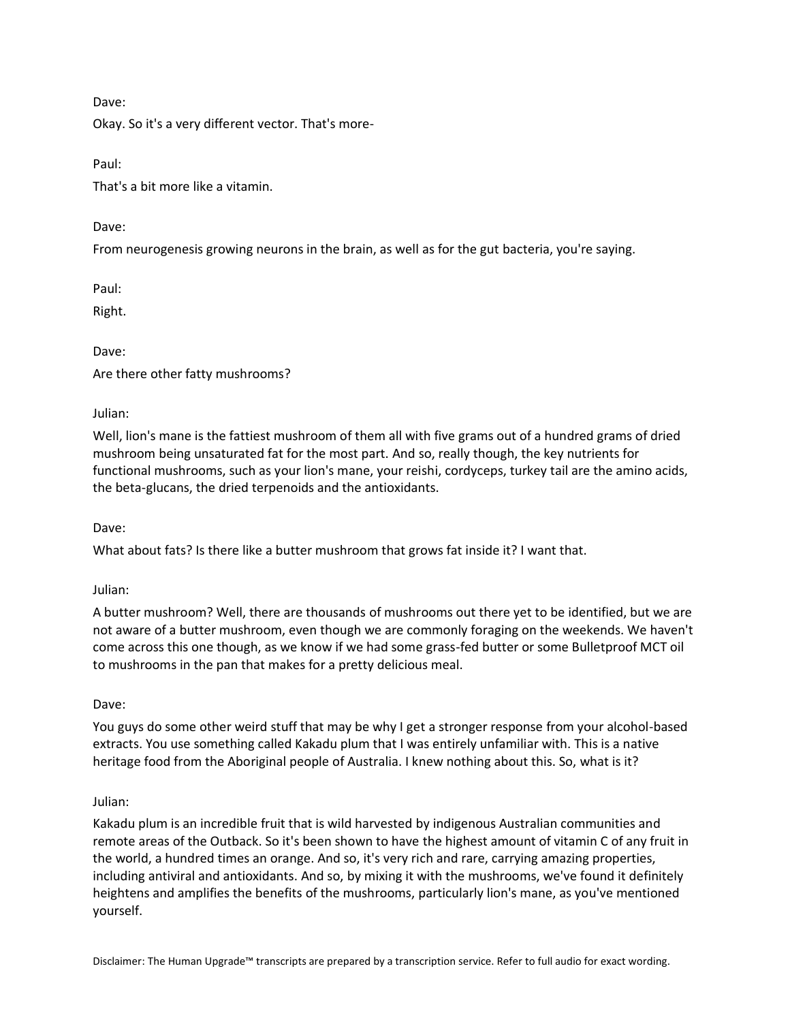Dave:

Okay. So it's a very different vector. That's more-

Paul:

That's a bit more like a vitamin.

Dave:

From neurogenesis growing neurons in the brain, as well as for the gut bacteria, you're saying.

Paul:

Right.

Dave:

Are there other fatty mushrooms?

Julian:

Well, lion's mane is the fattiest mushroom of them all with five grams out of a hundred grams of dried mushroom being unsaturated fat for the most part. And so, really though, the key nutrients for functional mushrooms, such as your lion's mane, your reishi, cordyceps, turkey tail are the amino acids, the beta-glucans, the dried terpenoids and the antioxidants.

Dave:

What about fats? Is there like a butter mushroom that grows fat inside it? I want that.

Julian:

A butter mushroom? Well, there are thousands of mushrooms out there yet to be identified, but we are not aware of a butter mushroom, even though we are commonly foraging on the weekends. We haven't come across this one though, as we know if we had some grass-fed butter or some Bulletproof MCT oil to mushrooms in the pan that makes for a pretty delicious meal.

Dave:

You guys do some other weird stuff that may be why I get a stronger response from your alcohol-based extracts. You use something called Kakadu plum that I was entirely unfamiliar with. This is a native heritage food from the Aboriginal people of Australia. I knew nothing about this. So, what is it?

Julian:

Kakadu plum is an incredible fruit that is wild harvested by indigenous Australian communities and remote areas of the Outback. So it's been shown to have the highest amount of vitamin C of any fruit in the world, a hundred times an orange. And so, it's very rich and rare, carrying amazing properties, including antiviral and antioxidants. And so, by mixing it with the mushrooms, we've found it definitely heightens and amplifies the benefits of the mushrooms, particularly lion's mane, as you've mentioned yourself.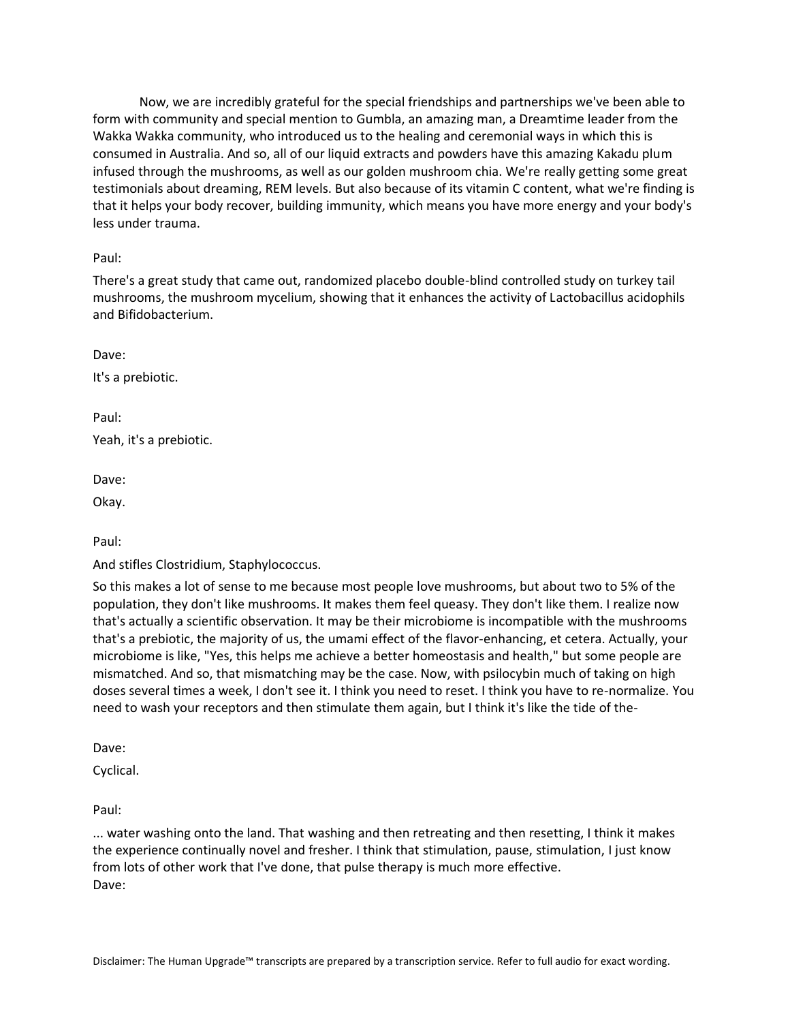Now, we are incredibly grateful for the special friendships and partnerships we've been able to form with community and special mention to Gumbla, an amazing man, a Dreamtime leader from the Wakka Wakka community, who introduced us to the healing and ceremonial ways in which this is consumed in Australia. And so, all of our liquid extracts and powders have this amazing Kakadu plum infused through the mushrooms, as well as our golden mushroom chia. We're really getting some great testimonials about dreaming, REM levels. But also because of its vitamin C content, what we're finding is that it helps your body recover, building immunity, which means you have more energy and your body's less under trauma.

Paul:

There's a great study that came out, randomized placebo double-blind controlled study on turkey tail mushrooms, the mushroom mycelium, showing that it enhances the activity of Lactobacillus acidophils and Bifidobacterium.

Dave:

It's a prebiotic.

Paul:

Yeah, it's a prebiotic.

Dave:

Okay.

Paul:

And stifles Clostridium, Staphylococcus.

So this makes a lot of sense to me because most people love mushrooms, but about two to 5% of the population, they don't like mushrooms. It makes them feel queasy. They don't like them. I realize now that's actually a scientific observation. It may be their microbiome is incompatible with the mushrooms that's a prebiotic, the majority of us, the umami effect of the flavor-enhancing, et cetera. Actually, your microbiome is like, "Yes, this helps me achieve a better homeostasis and health," but some people are mismatched. And so, that mismatching may be the case. Now, with psilocybin much of taking on high doses several times a week, I don't see it. I think you need to reset. I think you have to re-normalize. You need to wash your receptors and then stimulate them again, but I think it's like the tide of the-

Dave:

Cyclical.

Paul:

... water washing onto the land. That washing and then retreating and then resetting, I think it makes the experience continually novel and fresher. I think that stimulation, pause, stimulation, I just know from lots of other work that I've done, that pulse therapy is much more effective. Dave: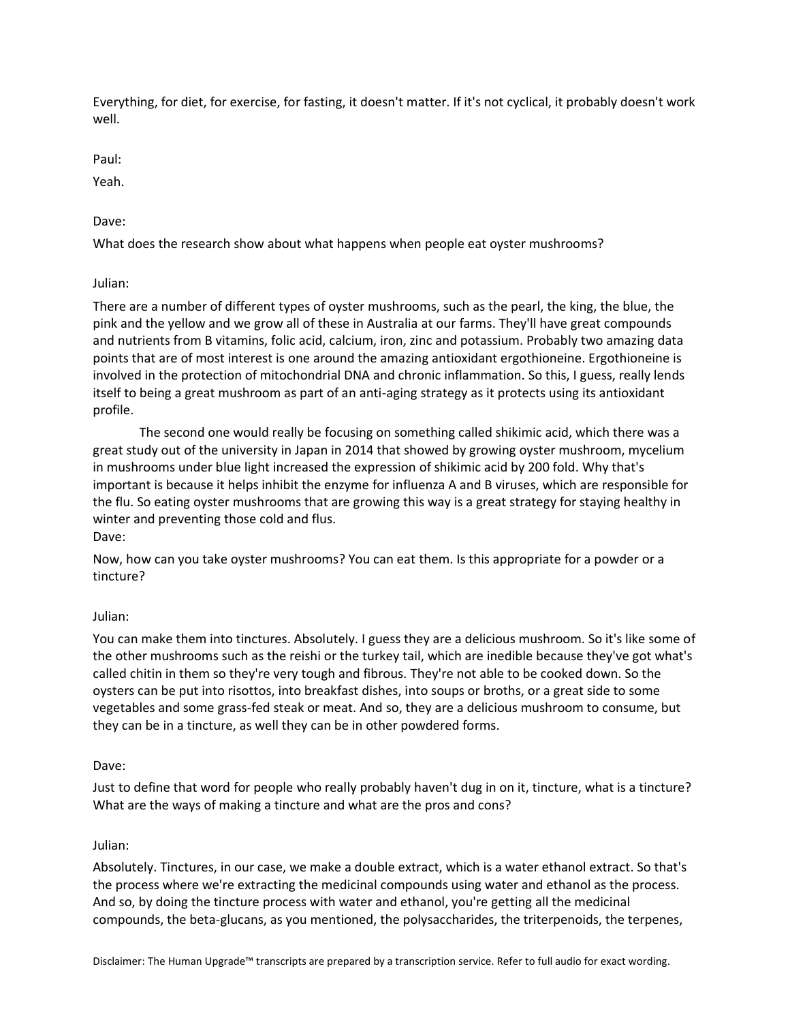Everything, for diet, for exercise, for fasting, it doesn't matter. If it's not cyclical, it probably doesn't work well.

Paul:

Yeah.

Dave:

What does the research show about what happens when people eat oyster mushrooms?

Julian:

There are a number of different types of oyster mushrooms, such as the pearl, the king, the blue, the pink and the yellow and we grow all of these in Australia at our farms. They'll have great compounds and nutrients from B vitamins, folic acid, calcium, iron, zinc and potassium. Probably two amazing data points that are of most interest is one around the amazing antioxidant ergothioneine. Ergothioneine is involved in the protection of mitochondrial DNA and chronic inflammation. So this, I guess, really lends itself to being a great mushroom as part of an anti-aging strategy as it protects using its antioxidant profile.

The second one would really be focusing on something called shikimic acid, which there was a great study out of the university in Japan in 2014 that showed by growing oyster mushroom, mycelium in mushrooms under blue light increased the expression of shikimic acid by 200 fold. Why that's important is because it helps inhibit the enzyme for influenza A and B viruses, which are responsible for the flu. So eating oyster mushrooms that are growing this way is a great strategy for staying healthy in winter and preventing those cold and flus. Dave:

Now, how can you take oyster mushrooms? You can eat them. Is this appropriate for a powder or a tincture?

# Julian:

You can make them into tinctures. Absolutely. I guess they are a delicious mushroom. So it's like some of the other mushrooms such as the reishi or the turkey tail, which are inedible because they've got what's called chitin in them so they're very tough and fibrous. They're not able to be cooked down. So the oysters can be put into risottos, into breakfast dishes, into soups or broths, or a great side to some vegetables and some grass-fed steak or meat. And so, they are a delicious mushroom to consume, but they can be in a tincture, as well they can be in other powdered forms.

# Dave:

Just to define that word for people who really probably haven't dug in on it, tincture, what is a tincture? What are the ways of making a tincture and what are the pros and cons?

# Julian:

Absolutely. Tinctures, in our case, we make a double extract, which is a water ethanol extract. So that's the process where we're extracting the medicinal compounds using water and ethanol as the process. And so, by doing the tincture process with water and ethanol, you're getting all the medicinal compounds, the beta-glucans, as you mentioned, the polysaccharides, the triterpenoids, the terpenes,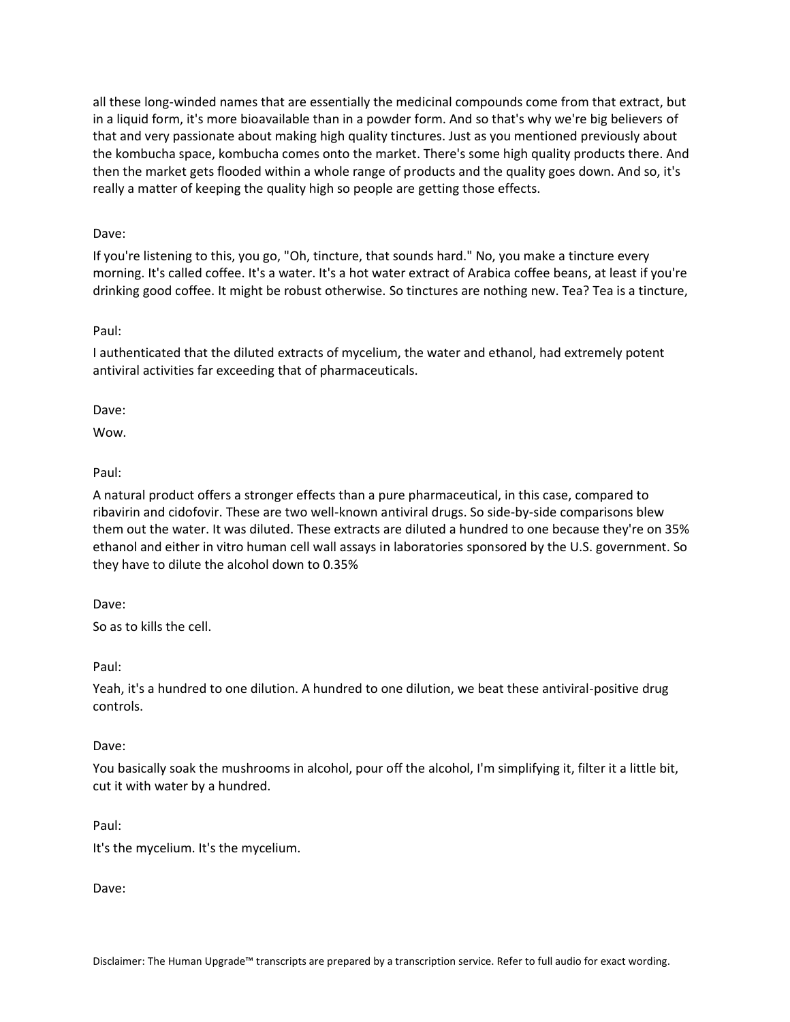all these long-winded names that are essentially the medicinal compounds come from that extract, but in a liquid form, it's more bioavailable than in a powder form. And so that's why we're big believers of that and very passionate about making high quality tinctures. Just as you mentioned previously about the kombucha space, kombucha comes onto the market. There's some high quality products there. And then the market gets flooded within a whole range of products and the quality goes down. And so, it's really a matter of keeping the quality high so people are getting those effects.

# Dave:

If you're listening to this, you go, "Oh, tincture, that sounds hard." No, you make a tincture every morning. It's called coffee. It's a water. It's a hot water extract of Arabica coffee beans, at least if you're drinking good coffee. It might be robust otherwise. So tinctures are nothing new. Tea? Tea is a tincture,

# Paul:

I authenticated that the diluted extracts of mycelium, the water and ethanol, had extremely potent antiviral activities far exceeding that of pharmaceuticals.

Dave:

Wow.

# Paul:

A natural product offers a stronger effects than a pure pharmaceutical, in this case, compared to ribavirin and cidofovir. These are two well-known antiviral drugs. So side-by-side comparisons blew them out the water. It was diluted. These extracts are diluted a hundred to one because they're on 35% ethanol and either in vitro human cell wall assays in laboratories sponsored by the U.S. government. So they have to dilute the alcohol down to 0.35%

Dave:

So as to kills the cell.

Paul:

Yeah, it's a hundred to one dilution. A hundred to one dilution, we beat these antiviral-positive drug controls.

# Dave:

You basically soak the mushrooms in alcohol, pour off the alcohol, I'm simplifying it, filter it a little bit, cut it with water by a hundred.

# Paul:

It's the mycelium. It's the mycelium.

Dave: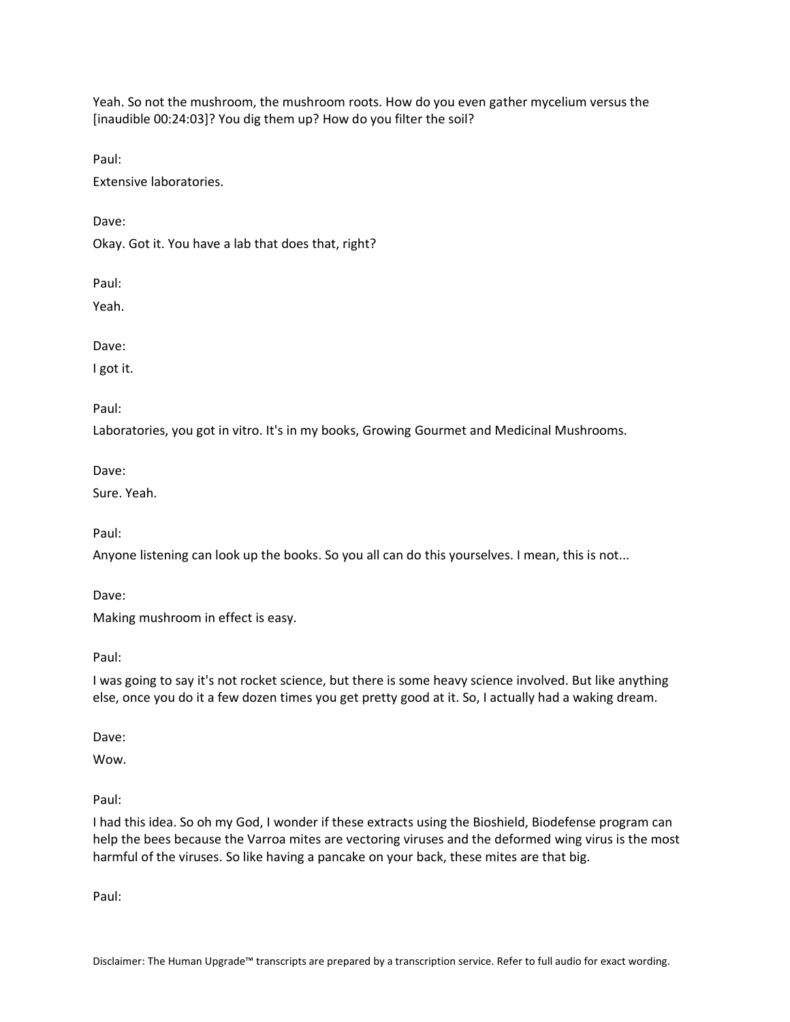Yeah. So not the mushroom, the mushroom roots. How do you even gather mycelium versus the [inaudible 00:24:03]? You dig them up? How do you filter the soil?

Paul:

Extensive laboratories.

Dave:

Okay. Got it. You have a lab that does that, right?

Paul:

Yeah.

Dave:

I got it.

Paul:

Laboratories, you got in vitro. It's in my books, Growing Gourmet and Medicinal Mushrooms.

Dave:

Sure. Yeah.

Paul:

Anyone listening can look up the books. So you all can do this yourselves. I mean, this is not...

Dave:

Making mushroom in effect is easy.

Paul:

I was going to say it's not rocket science, but there is some heavy science involved. But like anything else, once you do it a few dozen times you get pretty good at it. So, I actually had a waking dream.

Dave:

Wow.

Paul:

I had this idea. So oh my God, I wonder if these extracts using the Bioshield, Biodefense program can help the bees because the Varroa mites are vectoring viruses and the deformed wing virus is the most harmful of the viruses. So like having a pancake on your back, these mites are that big.

Paul: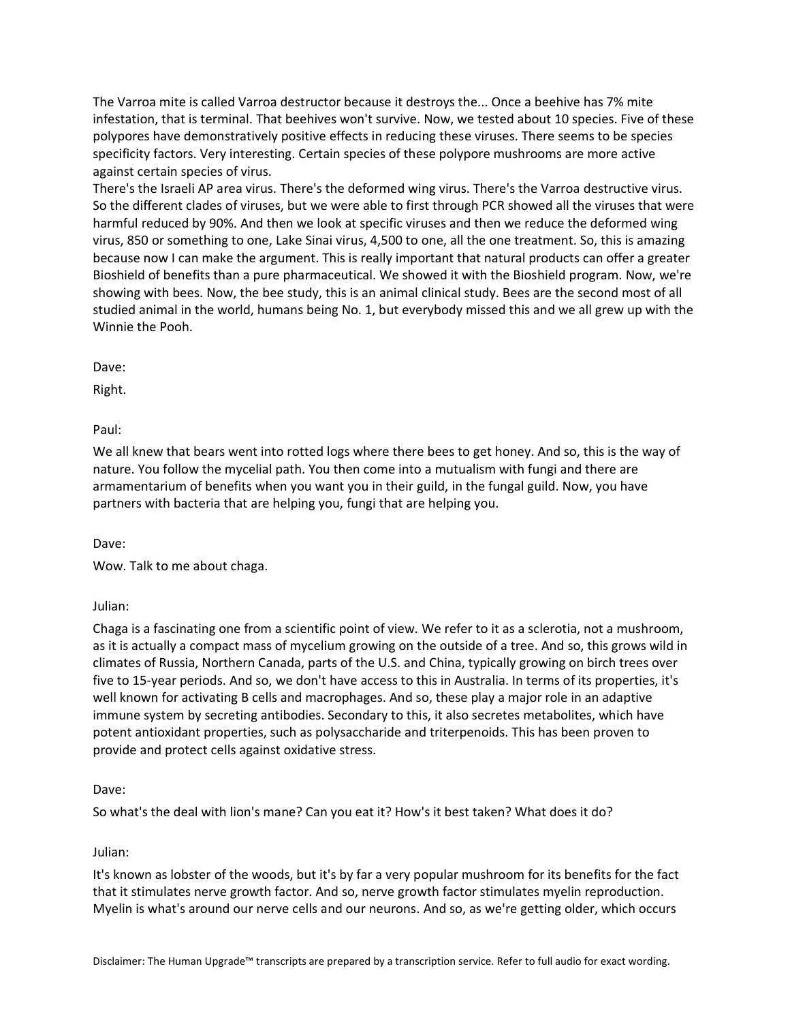The Varroa mite is called Varroa destructor because it destroys the... Once a beehive has 7% mite infestation, that is terminal. That beehives won't survive. Now, we tested about 10 species. Five of these polypores have demonstratively positive effects in reducing these viruses. There seems to be species specificity factors. Very interesting. Certain species of these polypore mushrooms are more active against certain species of virus.

There's the Israeli AP area virus. There's the deformed wing virus. There's the Varroa destructive virus. So the different clades of viruses, but we were able to first through PCR showed all the viruses that were harmful reduced by 90%. And then we look at specific viruses and then we reduce the deformed wing virus, 850 or something to one, Lake Sinai virus, 4,500 to one, all the one treatment. So, this is amazing because now I can make the argument. This is really important that natural products can offer a greater Bioshield of benefits than a pure pharmaceutical. We showed it with the Bioshield program. Now, we're showing with bees. Now, the bee study, this is an animal clinical study. Bees are the second most of all studied animal in the world, humans being No. 1, but everybody missed this and we all grew up with the Winnie the Pooh.

Dave:

Right.

Paul:

We all knew that bears went into rotted logs where there bees to get honey. And so, this is the way of nature. You follow the mycelial path. You then come into a mutualism with fungi and there are armamentarium of benefits when you want you in their guild, in the fungal guild. Now, you have partners with bacteria that are helping you, fungi that are helping you.

Dave:

Wow. Talk to me about chaga.

Julian:

Chaga is a fascinating one from a scientific point of view. We refer to it as a sclerotia, not a mushroom, as it is actually a compact mass of mycelium growing on the outside of a tree. And so, this grows wild in climates of Russia, Northern Canada, parts of the U.S. and China, typically growing on birch trees over five to 15-year periods. And so, we don't have access to this in Australia. In terms of its properties, it's well known for activating B cells and macrophages. And so, these play a major role in an adaptive immune system by secreting antibodies. Secondary to this, it also secretes metabolites, which have potent antioxidant properties, such as polysaccharide and triterpenoids. This has been proven to provide and protect cells against oxidative stress.

#### Dave:

So what's the deal with lion's mane? Can you eat it? How's it best taken? What does it do?

#### Julian:

It's known as lobster of the woods, but it's by far a very popular mushroom for its benefits for the fact that it stimulates nerve growth factor. And so, nerve growth factor stimulates myelin reproduction. Myelin is what's around our nerve cells and our neurons. And so, as we're getting older, which occurs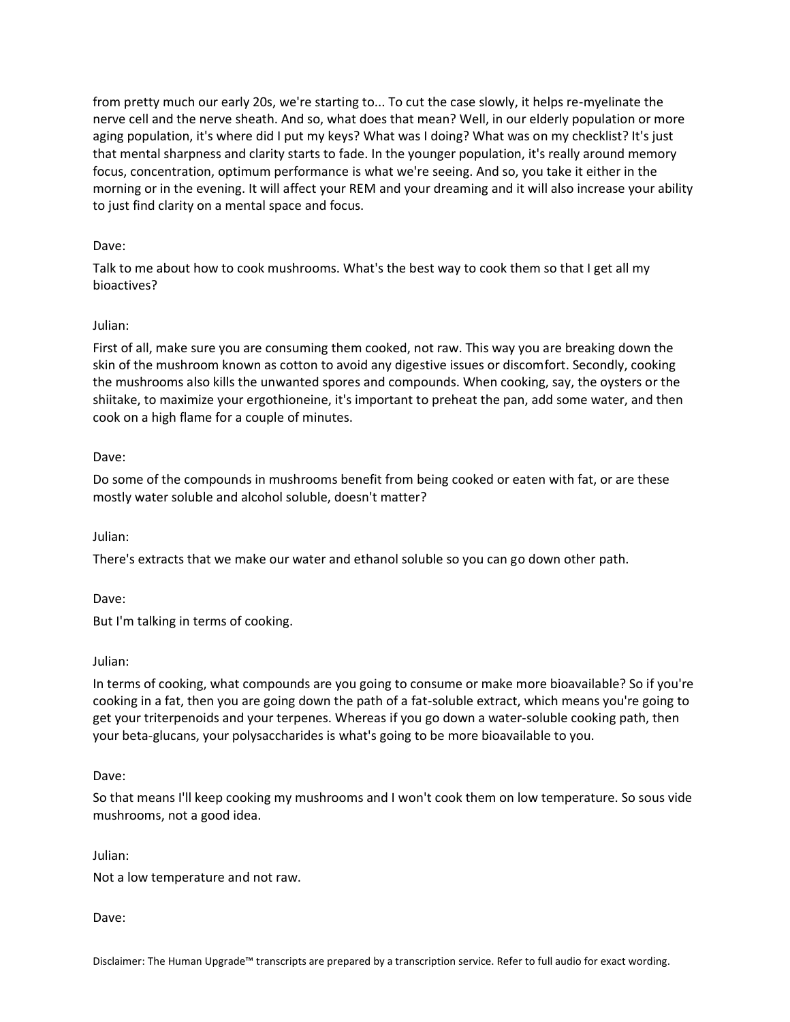from pretty much our early 20s, we're starting to... To cut the case slowly, it helps re-myelinate the nerve cell and the nerve sheath. And so, what does that mean? Well, in our elderly population or more aging population, it's where did I put my keys? What was I doing? What was on my checklist? It's just that mental sharpness and clarity starts to fade. In the younger population, it's really around memory focus, concentration, optimum performance is what we're seeing. And so, you take it either in the morning or in the evening. It will affect your REM and your dreaming and it will also increase your ability to just find clarity on a mental space and focus.

### Dave:

Talk to me about how to cook mushrooms. What's the best way to cook them so that I get all my bioactives?

#### Julian:

First of all, make sure you are consuming them cooked, not raw. This way you are breaking down the skin of the mushroom known as cotton to avoid any digestive issues or discomfort. Secondly, cooking the mushrooms also kills the unwanted spores and compounds. When cooking, say, the oysters or the shiitake, to maximize your ergothioneine, it's important to preheat the pan, add some water, and then cook on a high flame for a couple of minutes.

### Dave:

Do some of the compounds in mushrooms benefit from being cooked or eaten with fat, or are these mostly water soluble and alcohol soluble, doesn't matter?

Julian:

There's extracts that we make our water and ethanol soluble so you can go down other path.

Dave:

But I'm talking in terms of cooking.

#### Julian:

In terms of cooking, what compounds are you going to consume or make more bioavailable? So if you're cooking in a fat, then you are going down the path of a fat-soluble extract, which means you're going to get your triterpenoids and your terpenes. Whereas if you go down a water-soluble cooking path, then your beta-glucans, your polysaccharides is what's going to be more bioavailable to you.

#### Dave:

So that means I'll keep cooking my mushrooms and I won't cook them on low temperature. So sous vide mushrooms, not a good idea.

Julian:

Not a low temperature and not raw.

Dave:

Disclaimer: The Human Upgrade™ transcripts are prepared by a transcription service. Refer to full audio for exact wording.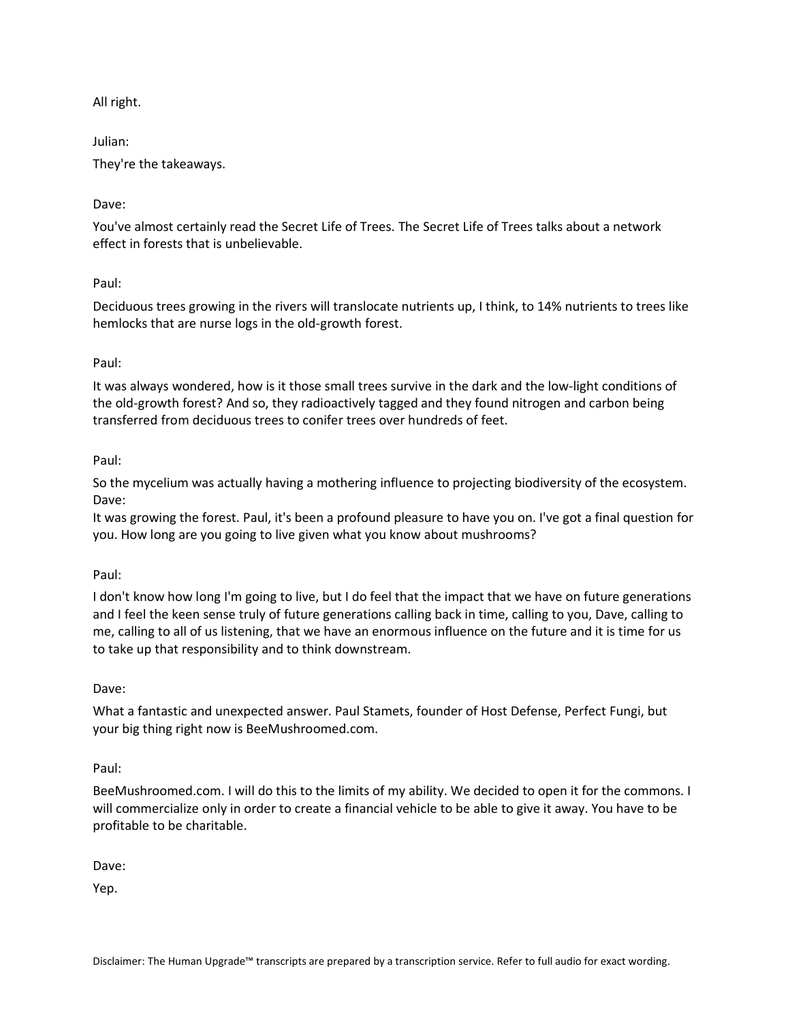All right.

Julian: They're the takeaways.

# Dave:

You've almost certainly read the Secret Life of Trees. The Secret Life of Trees talks about a network effect in forests that is unbelievable.

# Paul:

Deciduous trees growing in the rivers will translocate nutrients up, I think, to 14% nutrients to trees like hemlocks that are nurse logs in the old-growth forest.

# Paul:

It was always wondered, how is it those small trees survive in the dark and the low-light conditions of the old-growth forest? And so, they radioactively tagged and they found nitrogen and carbon being transferred from deciduous trees to conifer trees over hundreds of feet.

# Paul:

So the mycelium was actually having a mothering influence to projecting biodiversity of the ecosystem. Dave:

It was growing the forest. Paul, it's been a profound pleasure to have you on. I've got a final question for you. How long are you going to live given what you know about mushrooms?

# Paul:

I don't know how long I'm going to live, but I do feel that the impact that we have on future generations and I feel the keen sense truly of future generations calling back in time, calling to you, Dave, calling to me, calling to all of us listening, that we have an enormous influence on the future and it is time for us to take up that responsibility and to think downstream.

# Dave:

What a fantastic and unexpected answer. Paul Stamets, founder of Host Defense, Perfect Fungi, but your big thing right now is BeeMushroomed.com.

# Paul:

BeeMushroomed.com. I will do this to the limits of my ability. We decided to open it for the commons. I will commercialize only in order to create a financial vehicle to be able to give it away. You have to be profitable to be charitable.

Dave:

Yep.